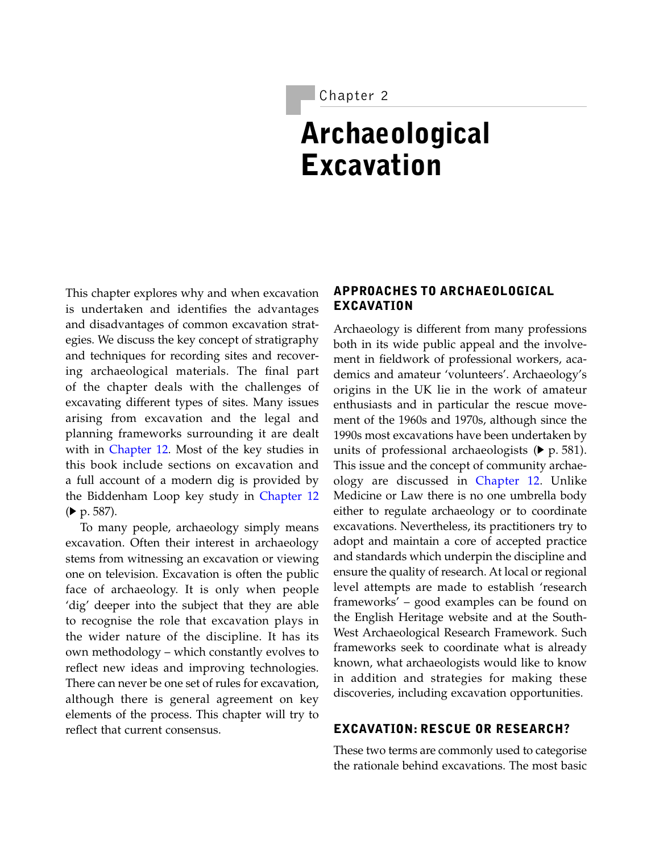# **Archaeological Excavation**

This chapter explores why and when excavation is undertaken and identifies the advantages and disadvantages of common excavation strategies. We discuss the key concept of stratigraphy and techniques for recording sites and recovering archaeological materials. The final part of the chapter deals with the challenges of excavating different types of sites. Many issues arising from excavation and the legal and planning frame works surrounding it are dealt with in Chapter 12. Most of the key studies in this book include sections on excavation and a full account of a modern dig is provided by the Biddenham Loop key study in Chapter 12 (► p. 587).

To many people, archaeology simply means excavation. Often their interest in archaeology stems from witnessing an excavation or viewing one on television. Excavation is often the public face of archaeology. It is only when people 'dig' deeper into the subject that they are able to recognise the role that excavation plays in the wider nature of the discipline. It has its own methodology – which constantly evolves to reflect new ideas and improving technologies. There can never be one set of rules for excavation, although there is general agreement on key elements of the process. This chapter will try to reflect that current consensus.

#### **APPROACHES TO ARCHAEOLOGICAL EXCAVATION**

Archaeology is different from many professions both in its wide public appeal and the involvement in fieldwork of professional workers, academics and amateur 'volunteers'. Archaeology's origins in the UK lie in the work of amateur enthusiasts and in particular the rescue movement of the 1960s and 1970s, although since the 1990s most excavations have been undertaken by units of professional archaeologists ( $\blacktriangleright$  p. 581). This issue and the concept of community archaeology are discussed in Chapter 12. Unlike Medicine or Law there is no one umbrella body either to regulate archaeology or to coordinate excavations. Nevertheless, its practitioners try to adopt and maintain a core of accepted practice and standards which underpin the discipline and ensure the quality of research. At local or regional level attempts are made to establish 'research frame works' – good examples can be found on the English Heritage website and at the South-West Archaeological Research Framework. Such frame works seek to coordinate what is already known, what archaeologists would like to know in addition and strategies for making these discoveries, including excavation opportunities.

# **EXCAVATION: RESCUE OR RESEARCH?**

These two terms are commonly used to categorise the rationale behind excavations. The most basic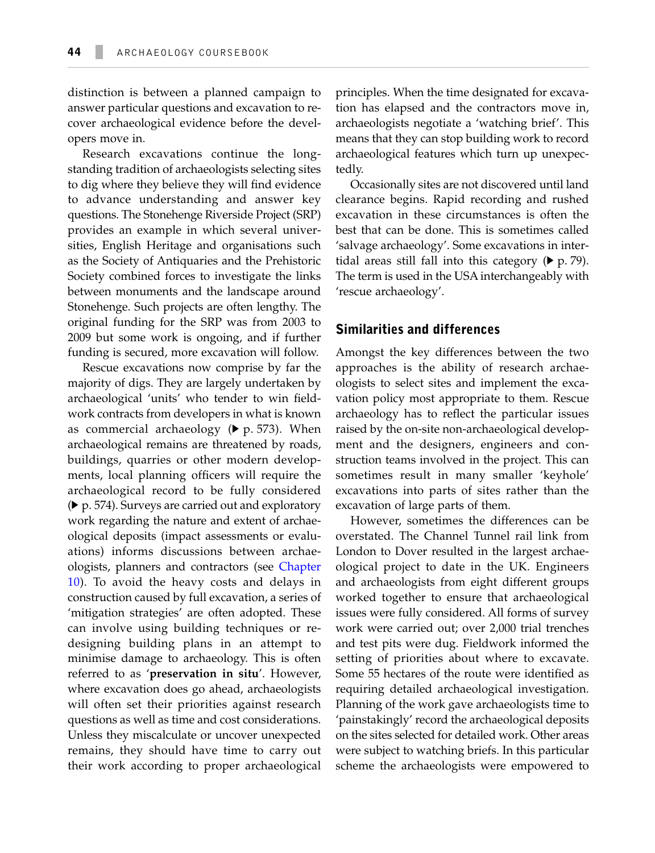distinction is between a planned campaign to answer particular questions and excavation to recover archaeological evidence before the developers move in.

Research excavations continue the longstanding tradition of archaeologists selecting sites to dig where they believe they will find evidence to advance understanding and answer key questions. The Stonehenge Riverside Project (SRP) provides an example in which several universities, English Heritage and organisations such as the Society of Antiquaries and the Prehistoric Society combined forces to investigate the links between monuments and the landscape around Stonehenge. Such projects are often lengthy. The original funding for the SRP was from 2003 to 2009 but some work is ongoing, and if further funding is secured, more excavation will follow.

Rescue excavations now comprise by far the majority of digs. They are largely undertaken by archaeological 'units' who tender to win fieldwork contracts from developers in what is known as commercial archaeology (▶ p. 573). When archaeological remains are threatened by roads, buildings, quarries or other modern developments, local planning officers will require the archaeological record to be fully considered (- p. 574). Surveys are carried out and exploratory work regarding the nature and extent of archaeological deposits (impact assessments or evalu ations) informs discussions between archaeologists, planners and contractors (see Chapter 10). To avoid the heavy costs and delays in construction caused by full excavation, a series of 'mitigation strategies' are often adopted. These can involve using building techniques or redesigning building plans in an attempt to minimise damage to archaeology. This is often referred to as '**preservation in situ**'. However, where excavation does go ahead, archaeologists will often set their priorities against research questions as well as time and cost considerations. Unless they miscalculate or uncover unexpected remains, they should have time to carry out their work according to proper archaeological

principles. When the time designated for excavation has elapsed and the contractors move in, archaeologists negotiate a 'watching brief'. This means that they can stop building work to record archaeological features which turn up unexpectedly.

Occasionally sites are not discovered until land clearance begins. Rapid recording and rushed excavation in these circumstances is often the best that can be done. This is sometimes called 'salvage archaeology'. Some excavations in intertidal areas still fall into this category ( $\blacktriangleright$  p. 79). The term is used in the USA interchangeably with 'rescue archaeology'.

## **Similarities and differences**

Amongst the key differences between the two approaches is the ability of research archaeologists to select sites and implement the excavation policy most appropriate to them. Rescue archaeology has to reflect the particular issues raised by the on-site non-archaeological development and the designers, engineers and construction teams involved in the project. This can sometimes result in many smaller 'keyhole' excavations into parts of sites rather than the excavation of large parts of them.

However, sometimes the differences can be overstated. The Channel Tunnel rail link from London to Dover resulted in the largest archaeological project to date in the UK. Engineers and archaeologists from eight different groups worked together to ensure that archaeological issues were fully considered. All forms of survey work were carried out; over 2,000 trial trenches and test pits were dug. Fieldwork informed the setting of priorities about where to excavate. Some 55 hectares of the route were identified as requiring detailed archaeological investigation. Planning of the work gave archaeologists time to 'painstakingly' record the archaeological deposits on the sites selected for detailed work. Other areas were subject to watching briefs. In this particular scheme the archaeologists were empowered to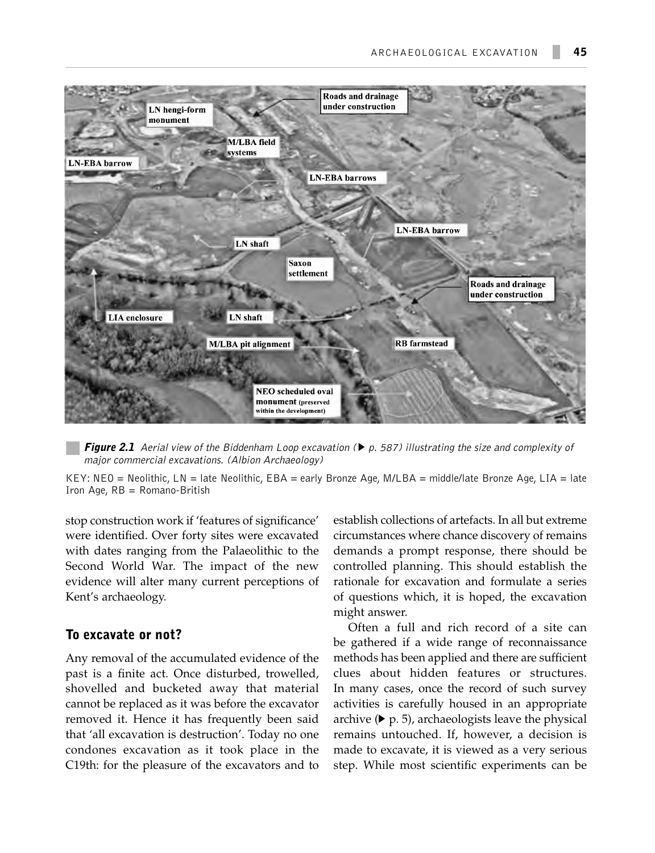

**Figure 2.1** Aerial view of the Biddenham Loop excavation ( $\triangleright$  p. 587) illustrating the size and complexity of major commercial excavations. (Albion Archaeology)

KEY: NEO = Neolithic, LN = late Neolithic, EBA = early Bronze Age, M/LBA = middle/late Bronze Age, LIA = late Iron Age, RB = Romano-British

stop construction work if 'features of significance' were identified. Over forty sites were excavated with dates ranging from the Palaeolithic to the Second World War. The impact of the new evidence will alter many current perceptions of Kent's archaeology.

#### **To excavate or not?**

Any removal of the accumulated evidence of the past is a finite act. Once disturbed, trowelled, shovelled and bucketed away that material cannot be replaced as it was before the excavator removed it. Hence it has frequently been said that 'all excavation is destruction'. Today no one condones excavation as it took place in the C19th: for the pleasure of the excavators and to

establish collections of artefacts. In all but extreme circum stances where chance discovery of remains demands a prompt response, there should be controlled planning. This should establish the rationale for excavation and formulate a series of questions which, it is hoped, the excavation might answer.

Often a full and rich record of a site can be gathered if a wide range of reconnaissance methods has been applied and there are sufficient clues about hidden features or structures. In many cases, once the record of such survey activities is carefully housed in an appropriate archive ( $\blacktriangleright$  p. 5), archaeologists leave the physical remains untouched. If, however, a decision is made to excavate, it is viewed as a very serious step. While most scientific experiments can be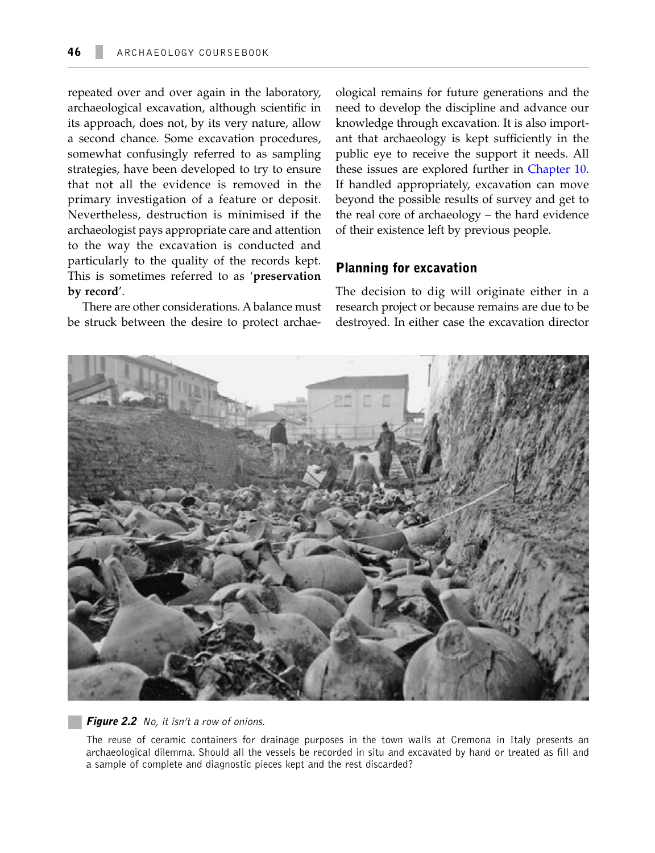repeated over and over again in the laboratory, archaeological excavation, although scientific in its approach, does not, by its very nature, allow a second chance. Some excavation procedures, somewhat confusingly referred to as sampling strategies, have been developed to try to ensure that not all the evidence is removed in the primary investigation of a feature or deposit. Nevertheless, destruction is minimised if the archaeologist pays appropriate care and attention to the way the excavation is conducted and particularly to the quality of the records kept. This is sometimes referred to as '**preservation by record**'.

There are other considerations. A balance must be struck between the desire to protect archaeological remains for future generations and the need to develop the discipline and advance our knowledge through excavation. It is also important that archaeology is kept sufficiently in the public eye to receive the support it needs. All these issues are explored further in Chapter 10. If handled appropriately, excavation can move beyond the possible results of survey and get to the real core of archaeology – the hard evidence of their existence left by previous people.

# **Planning for excavation**

The decision to dig will originate either in a research project or because remains are due to be destroyed. In either case the excavation director



#### **Figure 2.2** No, it isn't a row of onions.

The reuse of ceramic containers for drainage purposes in the town walls at Cremona in Italy presents an archaeological dilemma. Should all the vessels be recorded in situ and excavated by hand or treated as fill and a sample of complete and diagnostic pieces kept and the rest discarded?